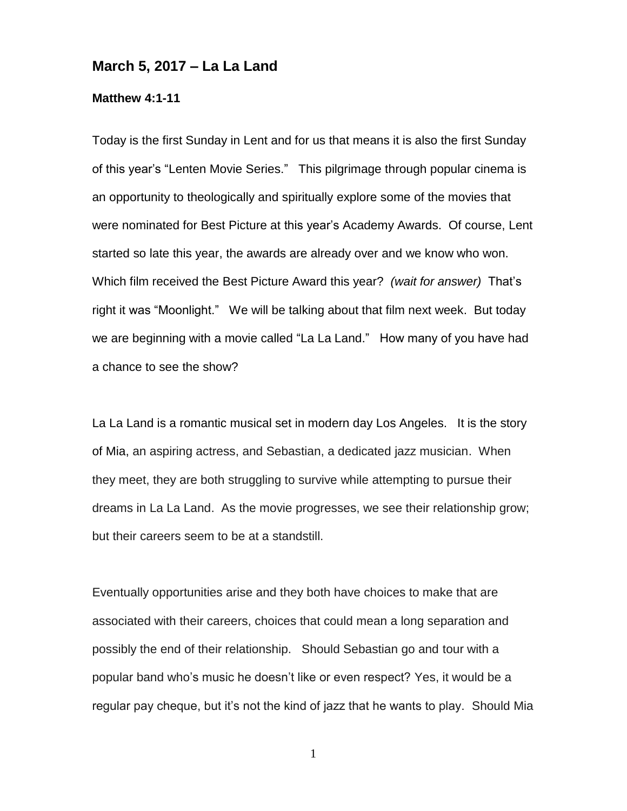## **March 5, 2017 – La La Land**

## **Matthew 4:1-11**

Today is the first Sunday in Lent and for us that means it is also the first Sunday of this year's "Lenten Movie Series." This pilgrimage through popular cinema is an opportunity to theologically and spiritually explore some of the movies that were nominated for Best Picture at this year's Academy Awards. Of course, Lent started so late this year, the awards are already over and we know who won. Which film received the Best Picture Award this year? *(wait for answer)* That's right it was "Moonlight." We will be talking about that film next week. But today we are beginning with a movie called "La La Land." How many of you have had a chance to see the show?

La La Land is a romantic musical set in modern day Los Angeles. It is the story of Mia, an aspiring actress, and Sebastian, a dedicated jazz musician. When they meet, they are both struggling to survive while attempting to pursue their dreams in La La Land. As the movie progresses, we see their relationship grow; but their careers seem to be at a standstill.

Eventually opportunities arise and they both have choices to make that are associated with their careers, choices that could mean a long separation and possibly the end of their relationship. Should Sebastian go and tour with a popular band who's music he doesn't like or even respect? Yes, it would be a regular pay cheque, but it's not the kind of jazz that he wants to play. Should Mia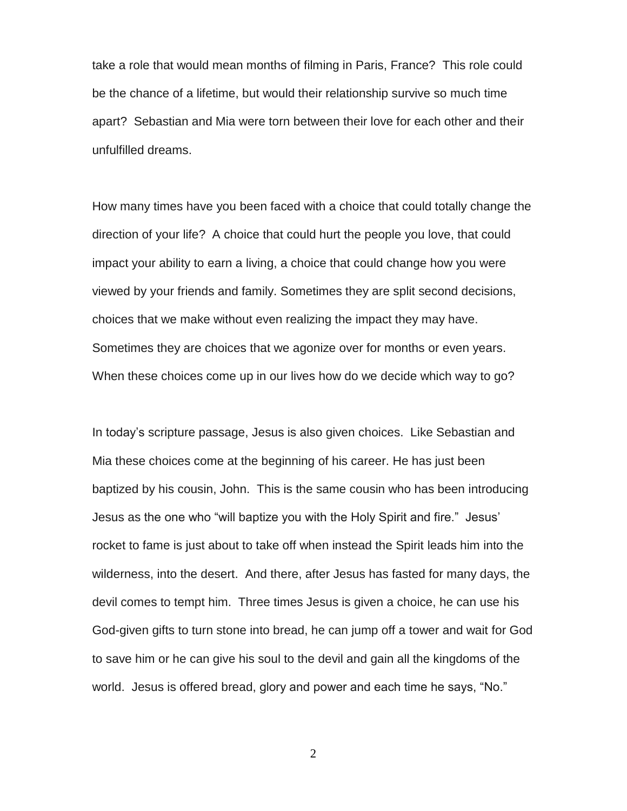take a role that would mean months of filming in Paris, France? This role could be the chance of a lifetime, but would their relationship survive so much time apart? Sebastian and Mia were torn between their love for each other and their unfulfilled dreams.

How many times have you been faced with a choice that could totally change the direction of your life? A choice that could hurt the people you love, that could impact your ability to earn a living, a choice that could change how you were viewed by your friends and family. Sometimes they are split second decisions, choices that we make without even realizing the impact they may have. Sometimes they are choices that we agonize over for months or even years. When these choices come up in our lives how do we decide which way to go?

In today's scripture passage, Jesus is also given choices. Like Sebastian and Mia these choices come at the beginning of his career. He has just been baptized by his cousin, John. This is the same cousin who has been introducing Jesus as the one who "will baptize you with the Holy Spirit and fire." Jesus' rocket to fame is just about to take off when instead the Spirit leads him into the wilderness, into the desert. And there, after Jesus has fasted for many days, the devil comes to tempt him. Three times Jesus is given a choice, he can use his God-given gifts to turn stone into bread, he can jump off a tower and wait for God to save him or he can give his soul to the devil and gain all the kingdoms of the world. Jesus is offered bread, glory and power and each time he says, "No."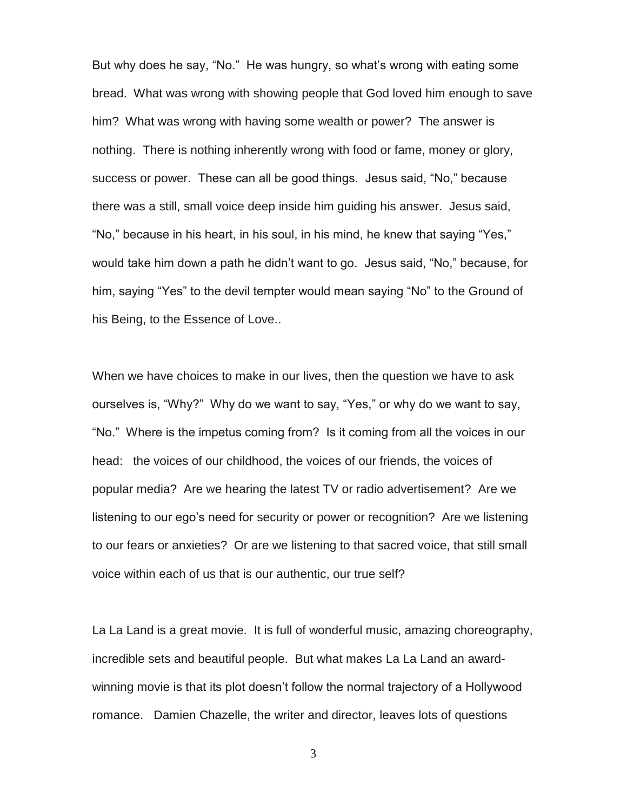But why does he say, "No." He was hungry, so what's wrong with eating some bread. What was wrong with showing people that God loved him enough to save him? What was wrong with having some wealth or power? The answer is nothing. There is nothing inherently wrong with food or fame, money or glory, success or power. These can all be good things. Jesus said, "No," because there was a still, small voice deep inside him guiding his answer. Jesus said, "No," because in his heart, in his soul, in his mind, he knew that saying "Yes," would take him down a path he didn't want to go. Jesus said, "No," because, for him, saying "Yes" to the devil tempter would mean saying "No" to the Ground of his Being, to the Essence of Love..

When we have choices to make in our lives, then the question we have to ask ourselves is, "Why?" Why do we want to say, "Yes," or why do we want to say, "No." Where is the impetus coming from? Is it coming from all the voices in our head: the voices of our childhood, the voices of our friends, the voices of popular media? Are we hearing the latest TV or radio advertisement? Are we listening to our ego's need for security or power or recognition? Are we listening to our fears or anxieties? Or are we listening to that sacred voice, that still small voice within each of us that is our authentic, our true self?

La La Land is a great movie. It is full of wonderful music, amazing choreography, incredible sets and beautiful people. But what makes La La Land an awardwinning movie is that its plot doesn't follow the normal trajectory of a Hollywood romance. Damien Chazelle, the writer and director, leaves lots of questions